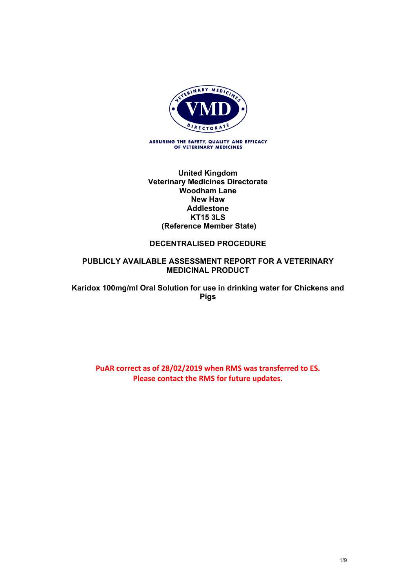

ASSURING THE SAFETY, QUALITY AND EFFICACY<br>OF VETERINARY MEDICINES

#### **United Kingdom Veterinary Medicines Directorate Woodham Lane New Haw Addlestone KT15 3LS (Reference Member State)**

#### **DECENTRALISED PROCEDURE**

#### **PUBLICLY AVAILABLE ASSESSMENT REPORT FOR A VETERINARY MEDICINAL PRODUCT**

**Karidox 100mg/ml Oral Solution for use in drinking water for Chickens and Pigs**

**PuAR correct as of 28/02/2019 when RMS was transferred to ES. Please contact the RMS for future updates.**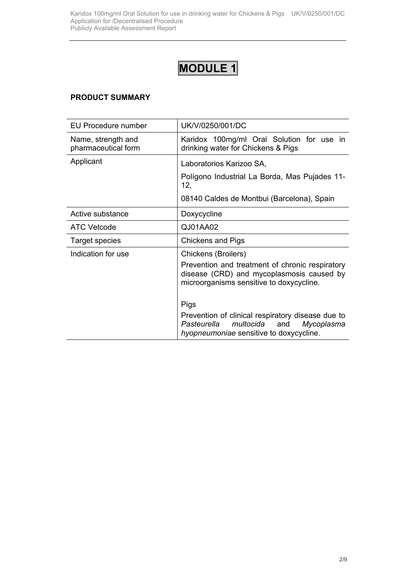# **MODULE 1**

# **PRODUCT SUMMARY**

| EU Procedure number                       | UK/V/0250/001/DC                                                                                                                                                                                                                                                                                                         |  |
|-------------------------------------------|--------------------------------------------------------------------------------------------------------------------------------------------------------------------------------------------------------------------------------------------------------------------------------------------------------------------------|--|
| Name, strength and<br>pharmaceutical form | Karidox 100mg/ml Oral Solution for use in<br>drinking water for Chickens & Pigs                                                                                                                                                                                                                                          |  |
| Applicant                                 | Laboratorios Karizoo SA,<br>Polígono Industrial La Borda, Mas Pujades 11-<br>12,<br>08140 Caldes de Montbui (Barcelona), Spain                                                                                                                                                                                           |  |
| Active substance                          | Doxycycline                                                                                                                                                                                                                                                                                                              |  |
| <b>ATC Vetcode</b>                        | QJ01AA02                                                                                                                                                                                                                                                                                                                 |  |
| Target species                            | <b>Chickens and Pigs</b>                                                                                                                                                                                                                                                                                                 |  |
| Indication for use                        | Chickens (Broilers)<br>Prevention and treatment of chronic respiratory<br>disease (CRD) and mycoplasmosis caused by<br>microorganisms sensitive to doxycycline.<br>Pigs<br>Prevention of clinical respiratory disease due to<br>Pasteurella<br>multocida<br>Mycoplasma<br>and<br>hyopneumoniae sensitive to doxycycline. |  |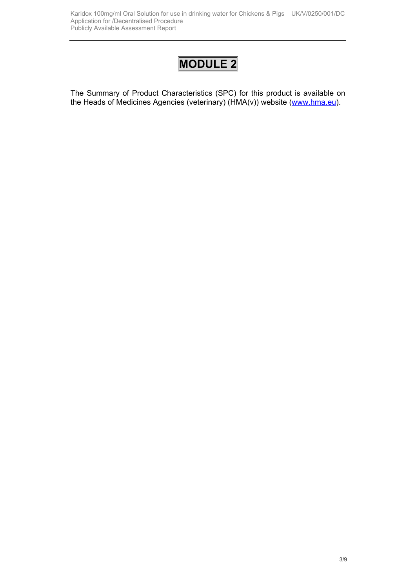# **MODULE 2**

The Summary of Product Characteristics (SPC) for this product is available on the Heads of Medicines Agencies (veterinary) (HMA(v)) website ([www.hma.eu](http://www.hma.eu/)).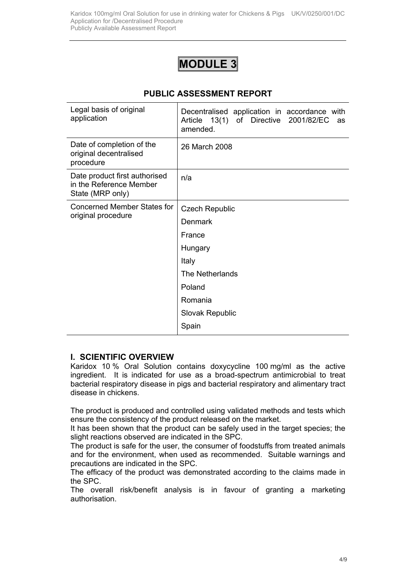# **MODULE 3**

|  | <b>PUBLIC ASSESSMENT REPORT</b> |  |
|--|---------------------------------|--|
|--|---------------------------------|--|

| Legal basis of original<br>application                                       | Decentralised application in accordance with<br>Article 13(1)<br>of Directive<br>2001/82/EC<br>as<br>amended. |
|------------------------------------------------------------------------------|---------------------------------------------------------------------------------------------------------------|
| Date of completion of the<br>original decentralised<br>procedure             | 26 March 2008                                                                                                 |
| Date product first authorised<br>in the Reference Member<br>State (MRP only) | n/a                                                                                                           |
| <b>Concerned Member States for</b><br>original procedure                     | <b>Czech Republic</b>                                                                                         |
|                                                                              | <b>Denmark</b>                                                                                                |
|                                                                              | France                                                                                                        |
|                                                                              | Hungary                                                                                                       |
|                                                                              | Italy                                                                                                         |
|                                                                              | The Netherlands                                                                                               |
|                                                                              | Poland                                                                                                        |
|                                                                              | Romania                                                                                                       |
|                                                                              | <b>Slovak Republic</b>                                                                                        |
|                                                                              | Spain                                                                                                         |

#### **I. SCIENTIFIC OVERVIEW**

Karidox 10 % Oral Solution contains doxycycline 100 mg/ml as the active ingredient. It is indicated for use as a broad-spectrum antimicrobial to treat bacterial respiratory disease in pigs and bacterial respiratory and alimentary tract disease in chickens.

The product is produced and controlled using validated methods and tests which ensure the consistency of the product released on the market.

It has been shown that the product can be safely used in the target species; the slight reactions observed are indicated in the SPC.

The product is safe for the user, the consumer of foodstuffs from treated animals and for the environment, when used as recommended. Suitable warnings and precautions are indicated in the SPC.

The efficacy of the product was demonstrated according to the claims made in the SPC.

The overall risk/benefit analysis is in favour of granting a marketing authorisation.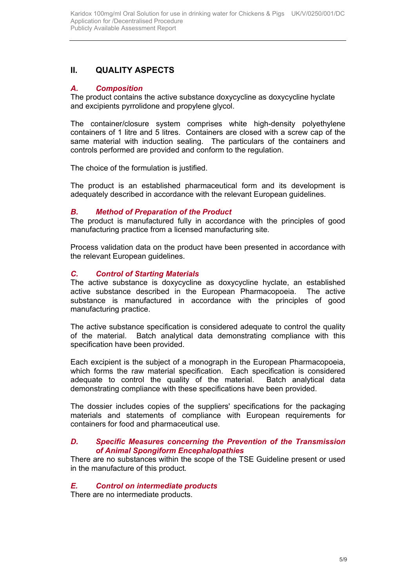# **II. QUALITY ASPECTS**

# *A. Composition*

The product contains the active substance doxycycline as doxycycline hyclate and excipients pyrrolidone and propylene glycol.

The container/closure system comprises white high-density polyethylene containers of 1 litre and 5 litres. Containers are closed with a screw cap of the same material with induction sealing. The particulars of the containers and controls performed are provided and conform to the regulation.

The choice of the formulation is justified.

The product is an established pharmaceutical form and its development is adequately described in accordance with the relevant European guidelines.

## *B. Method of Preparation of the Product*

The product is manufactured fully in accordance with the principles of good manufacturing practice from a licensed manufacturing site*.*

Process validation data on the product have been presented in accordance with the relevant European guidelines.

## *C. Control of Starting Materials*

The active substance is doxycycline as doxycycline hyclate, an established active substance described in the European Pharmacopoeia. The active substance is manufactured in accordance with the principles of good manufacturing practice.

The active substance specification is considered adequate to control the quality of the material. Batch analytical data demonstrating compliance with this specification have been provided.

Each excipient is the subject of a monograph in the European Pharmacopoeia, which forms the raw material specification. Each specification is considered adequate to control the quality of the material. Batch analytical data demonstrating compliance with these specifications have been provided.

The dossier includes copies of the suppliers' specifications for the packaging materials and statements of compliance with European requirements for containers for food and pharmaceutical use.

#### *D. Specific Measures concerning the Prevention of the Transmission of Animal Spongiform Encephalopathies*

There are no substances within the scope of the TSE Guideline present or used in the manufacture of this product*.*

## *E. Control on intermediate products*

There are no intermediate products.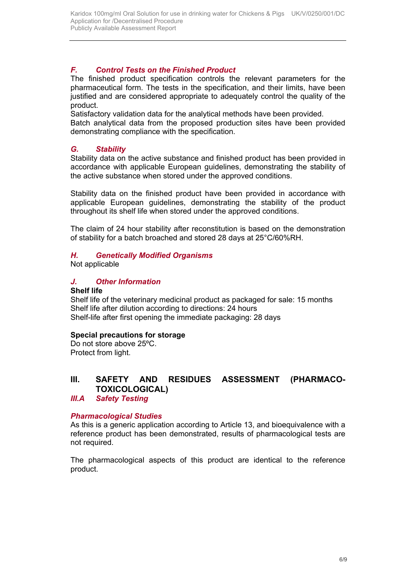# *F. Control Tests on the Finished Product*

The finished product specification controls the relevant parameters for the pharmaceutical form. The tests in the specification, and their limits, have been justified and are considered appropriate to adequately control the quality of the product.

Satisfactory validation data for the analytical methods have been provided.

Batch analytical data from the proposed production sites have been provided demonstrating compliance with the specification.

# *G. Stability*

Stability data on the active substance and finished product has been provided in accordance with applicable European guidelines, demonstrating the stability of the active substance when stored under the approved conditions.

Stability data on the finished product have been provided in accordance with applicable European guidelines, demonstrating the stability of the product throughout its shelf life when stored under the approved conditions.

The claim of 24 hour stability after reconstitution is based on the demonstration of stability for a batch broached and stored 28 days at 25°C/60%RH.

# *H. Genetically Modified Organisms*

Not applicable

# *J. Other Information*

**Shelf life** 

Shelf life of the veterinary medicinal product as packaged for sale: 15 months Shelf life after dilution according to directions: 24 hours Shelf-life after first opening the immediate packaging: 28 days

## **Special precautions for storage**

Do not store above 25ºC. Protect from light.

# **III. SAFETY AND RESIDUES ASSESSMENT (PHARMACO-TOXICOLOGICAL)**

*III.A Safety Testing*

## *Pharmacological Studies*

As this is a generic application according to Article 13, and bioequivalence with a reference product has been demonstrated, results of pharmacological tests are not required.

The pharmacological aspects of this product are identical to the reference product.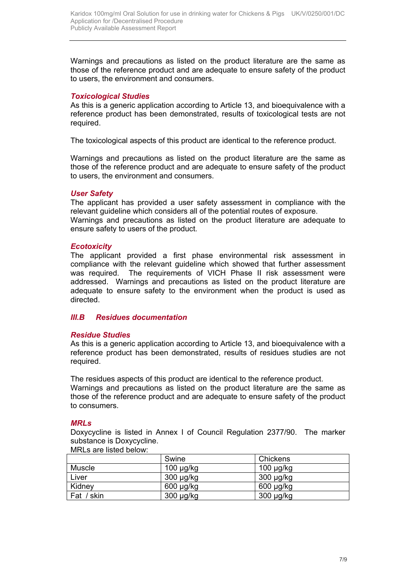Warnings and precautions as listed on the product literature are the same as those of the reference product and are adequate to ensure safety of the product to users, the environment and consumers.

#### *Toxicological Studies*

As this is a generic application according to Article 13, and bioequivalence with a reference product has been demonstrated, results of toxicological tests are not required.

The toxicological aspects of this product are identical to the reference product.

Warnings and precautions as listed on the product literature are the same as those of the reference product and are adequate to ensure safety of the product to users, the environment and consumers.

#### *User Safety*

The applicant has provided a user safety assessment in compliance with the relevant guideline which considers all of the potential routes of exposure. Warnings and precautions as listed on the product literature are adequate to ensure safety to users of the product.

#### *Ecotoxicity*

The applicant provided a first phase environmental risk assessment in compliance with the relevant guideline which showed that further assessment was required. The requirements of VICH Phase II risk assessment were addressed. Warnings and precautions as listed on the product literature are adequate to ensure safety to the environment when the product is used as directed.

# *III.B Residues documentation*

#### *Residue Studies*

As this is a generic application according to Article 13, and bioequivalence with a reference product has been demonstrated, results of residues studies are not required.

The residues aspects of this product are identical to the reference product. Warnings and precautions as listed on the product literature are the same as those of the reference product and are adequate to ensure safety of the product to consumers.

#### *MRLs*

Doxycycline is listed in Annex I of Council Regulation 2377/90. The marker substance is Doxycycline. MRLs are listed below:

| <u>III ILU UIU IIJIUU DUIUW.</u> |                |                |  |  |
|----------------------------------|----------------|----------------|--|--|
|                                  | Swine          | Chickens       |  |  |
| Muscle                           | $100 \mu g/kg$ | $100 \mu g/kg$ |  |  |
| Liver                            | $300 \mu g/kg$ | $300 \mu g/kg$ |  |  |
| Kidney                           | $600 \mu g/kg$ | $600 \mu g/kg$ |  |  |
| Fat / skin                       | $300 \mu g/kg$ | $300 \mu g/kg$ |  |  |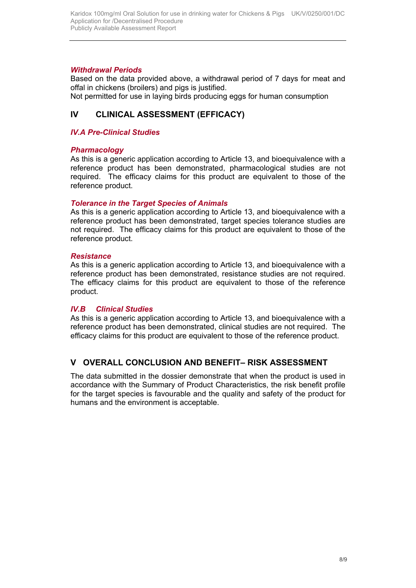#### *Withdrawal Periods*

Based on the data provided above, a withdrawal period of 7 days for meat and offal in chickens (broilers) and pigs is justified.

Not permitted for use in laying birds producing eggs for human consumption

# **IV CLINICAL ASSESSMENT (EFFICACY)**

#### *IV.A Pre-Clinical Studies*

#### *Pharmacology*

As this is a generic application according to Article 13, and bioequivalence with a reference product has been demonstrated, pharmacological studies are not required. The efficacy claims for this product are equivalent to those of the reference product.

#### *Tolerance in the Target Species of Animals*

As this is a generic application according to Article 13, and bioequivalence with a reference product has been demonstrated, target species tolerance studies are not required. The efficacy claims for this product are equivalent to those of the reference product.

#### *Resistance*

As this is a generic application according to Article 13, and bioequivalence with a reference product has been demonstrated, resistance studies are not required. The efficacy claims for this product are equivalent to those of the reference product.

#### *IV.B Clinical Studies*

As this is a generic application according to Article 13, and bioequivalence with a reference product has been demonstrated, clinical studies are not required. The efficacy claims for this product are equivalent to those of the reference product.

## **V OVERALL CONCLUSION AND BENEFIT– RISK ASSESSMENT**

The data submitted in the dossier demonstrate that when the product is used in accordance with the Summary of Product Characteristics, the risk benefit profile for the target species is favourable and the quality and safety of the product for humans and the environment is acceptable.